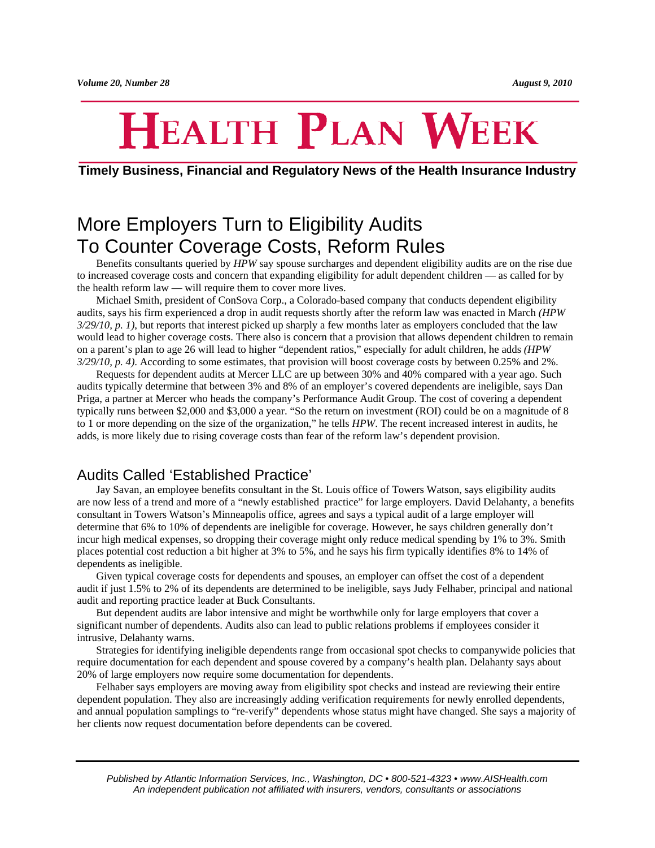# **HEALTH PLAN WEEK**

## **Timely Business, Financial and Regulatory News of the Health Insurance Industry**

# More Employers Turn to Eligibility Audits To Counter Coverage Costs, Reform Rules

Benefits consultants queried by *HPW* say spouse surcharges and dependent eligibility audits are on the rise due to increased coverage costs and concern that expanding eligibility for adult dependent children — as called for by the health reform law — will require them to cover more lives.

Michael Smith, president of ConSova Corp., a Colorado-based company that conducts dependent eligibility audits, says his firm experienced a drop in audit requests shortly after the reform law was enacted in March *(HPW 3/29/10, p. 1)*, but reports that interest picked up sharply a few months later as employers concluded that the law would lead to higher coverage costs. There also is concern that a provision that allows dependent children to remain on a parent's plan to age 26 will lead to higher "dependent ratios," especially for adult children, he adds *(HPW 3/29/10, p. 4)*. According to some estimates, that provision will boost coverage costs by between 0.25% and 2%.

Requests for dependent audits at Mercer LLC are up between 30% and 40% compared with a year ago. Such audits typically determine that between 3% and 8% of an employer's covered dependents are ineligible, says Dan Priga, a partner at Mercer who heads the company's Performance Audit Group. The cost of covering a dependent typically runs between \$2,000 and \$3,000 a year. "So the return on investment (ROI) could be on a magnitude of 8 to 1 or more depending on the size of the organization," he tells *HPW*. The recent increased interest in audits, he adds, is more likely due to rising coverage costs than fear of the reform law's dependent provision.

# Audits Called 'Established Practice'

Jay Savan, an employee benefits consultant in the St. Louis office of Towers Watson, says eligibility audits are now less of a trend and more of a "newly established practice" for large employers. David Delahanty, a benefits consultant in Towers Watson's Minneapolis office, agrees and says a typical audit of a large employer will determine that 6% to 10% of dependents are ineligible for coverage. However, he says children generally don't incur high medical expenses, so dropping their coverage might only reduce medical spending by 1% to 3%. Smith places potential cost reduction a bit higher at 3% to 5%, and he says his firm typically identifies 8% to 14% of dependents as ineligible.

Given typical coverage costs for dependents and spouses, an employer can offset the cost of a dependent audit if just 1.5% to 2% of its dependents are determined to be ineligible, says Judy Felhaber, principal and national audit and reporting practice leader at Buck Consultants.

But dependent audits are labor intensive and might be worthwhile only for large employers that cover a significant number of dependents. Audits also can lead to public relations problems if employees consider it intrusive, Delahanty warns.

Strategies for identifying ineligible dependents range from occasional spot checks to companywide policies that require documentation for each dependent and spouse covered by a company's health plan. Delahanty says about 20% of large employers now require some documentation for dependents.

Felhaber says employers are moving away from eligibility spot checks and instead are reviewing their entire dependent population. They also are increasingly adding verification requirements for newly enrolled dependents, and annual population samplings to "re-verify" dependents whose status might have changed. She says a majority of her clients now request documentation before dependents can be covered.

*Published by Atlantic Information Services, Inc., Washington, DC • 800-521-4323 • www.AISHealth.com An independent publication not affiliated with insurers, vendors, consultants or associations*